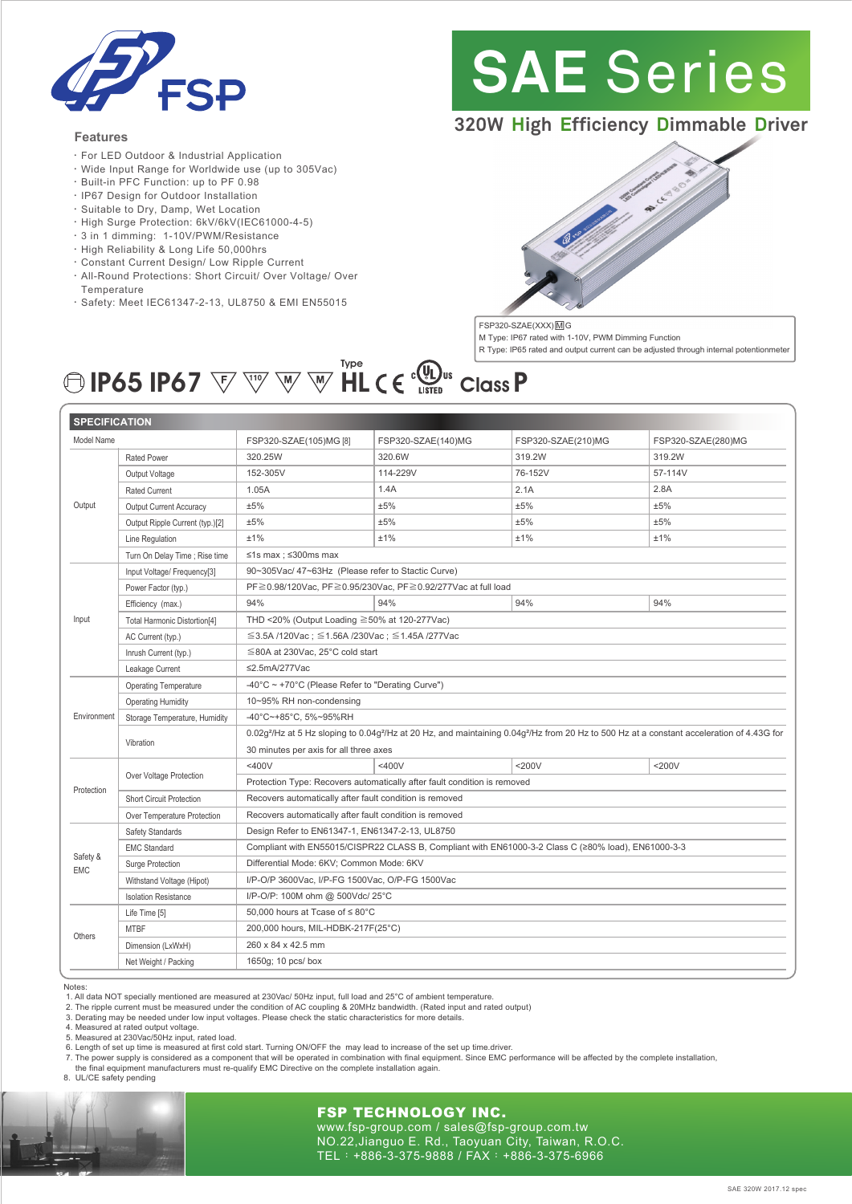

#### **Features**

- ‧For LED Outdoor & Industrial Application
- ‧Wide Input Range for Worldwide use (up to 305Vac)
- ‧Built-in PFC Function: up to PF 0.98
- ‧IP67 Design for Outdoor Installation
- ‧Suitable to Dry, Damp, Wet Location
- ‧High Surge Protection: 6kV/6kV(IEC61000-4-5)
- ‧3 in 1 dimming: 1-10V/PWM/Resistance
- ‧High Reliability & Long Life 50,000hrs
- ‧Constant Current Design/ Low Ripple Current
- ‧All-Round Protections: Short Circuit/ Over Voltage/ Over Temperature
- ‧Safety: Meet IEC61347-2-13, UL8750 & EMI EN55015

# **SAE** Series

# **320W High Efficiency Dimmable Driver**



M Type: IP67 rated with 1-10V, PWM Dimming Function R Type: IP65 rated and output current can be adjusted through internal potentionmeter **IP65 IP67**  $\overline{\mathbb{W}}$   $\overline{\mathbb{W}}$   $\overline{\mathbb{W}}$   $\overline{\mathbb{H}}$   $\mathsf{C}$   $\mathsf{C}$   $\overline{\mathbb{Q}}$ <sub>ustep</sub>  $\overline{\mathsf{C}}$  lass  $\overline{\mathsf{P}}$ 

| <b>SPECIFICATION</b> |                                 |                                                                                                                                                                                |                    |                    |                    |
|----------------------|---------------------------------|--------------------------------------------------------------------------------------------------------------------------------------------------------------------------------|--------------------|--------------------|--------------------|
| Model Name           |                                 | FSP320-SZAE(105)MG [8]                                                                                                                                                         | FSP320-SZAE(140)MG | FSP320-SZAE(210)MG | FSP320-SZAE(280)MG |
| Output               | <b>Rated Power</b>              | 320.25W                                                                                                                                                                        | 320.6W             | 319.2W             | 319.2W             |
|                      | Output Voltage                  | 152-305V                                                                                                                                                                       | 114-229V           | 76-152V            | 57-114V            |
|                      | <b>Rated Current</b>            | 1.05A                                                                                                                                                                          | 1.4A               | 2.1A               | 2.8A               |
|                      | Output Current Accuracy         | ±5%                                                                                                                                                                            | ±5%                | ±5%                | ±5%                |
|                      | Output Ripple Current (typ.)[2] | ±5%                                                                                                                                                                            | ±5%                | ±5%                | ±5%                |
|                      | Line Regulation                 | ±1%                                                                                                                                                                            | ±1%                | ±1%                | ±1%                |
|                      | Turn On Delay Time ; Rise time  | $≤1s$ max ; $≤300$ ms max                                                                                                                                                      |                    |                    |                    |
| Input                | Input Voltage/ Frequency[3]     | 90~305Vac/47~63Hz (Please refer to Stactic Curve)                                                                                                                              |                    |                    |                    |
|                      | Power Factor (typ.)             | PF≧0.98/120Vac, PF≧0.95/230Vac, PF≧0.92/277Vac at full load                                                                                                                    |                    |                    |                    |
|                      | Efficiency (max.)               | 94%                                                                                                                                                                            | 94%                | 94%                | 94%                |
|                      | Total Harmonic Distortion[4]    | THD <20% (Output Loading ≧50% at 120-277Vac)                                                                                                                                   |                    |                    |                    |
|                      | AC Current (typ.)               | $\leq$ 3.5A /120Vac; $\leq$ 1.56A /230Vac; $\leq$ 1.45A /277Vac                                                                                                                |                    |                    |                    |
|                      | Inrush Current (typ.)           | $\leq$ 80A at 230Vac, 25°C cold start                                                                                                                                          |                    |                    |                    |
|                      | Leakage Current                 | ≤2.5mA/277Vac                                                                                                                                                                  |                    |                    |                    |
| Environment          | <b>Operating Temperature</b>    | -40°C ~ +70°C (Please Refer to "Derating Curve")                                                                                                                               |                    |                    |                    |
|                      | <b>Operating Humidity</b>       | 10~95% RH non-condensing                                                                                                                                                       |                    |                    |                    |
|                      | Storage Temperature, Humidity   | -40°C~+85°C, 5%~95%RH                                                                                                                                                          |                    |                    |                    |
|                      | Vibration                       | 0.02g <sup>2</sup> /Hz at 5 Hz sloping to 0.04g <sup>2</sup> /Hz at 20 Hz, and maintaining 0.04g <sup>2</sup> /Hz from 20 Hz to 500 Hz at a constant acceleration of 4.43G for |                    |                    |                    |
|                      |                                 | 30 minutes per axis for all three axes                                                                                                                                         |                    |                    |                    |
| Protection           | Over Voltage Protection         | $<$ 400 $V$                                                                                                                                                                    | $<$ 400 $V$        | $<$ 200 $V$        | $<$ 200 $V$        |
|                      |                                 | Protection Type: Recovers automatically after fault condition is removed                                                                                                       |                    |                    |                    |
|                      | <b>Short Circuit Protection</b> | Recovers automatically after fault condition is removed                                                                                                                        |                    |                    |                    |
|                      | Over Temperature Protection     | Recovers automatically after fault condition is removed                                                                                                                        |                    |                    |                    |
| Safety &<br>EMC      | Safety Standards                | Design Refer to EN61347-1, EN61347-2-13, UL8750                                                                                                                                |                    |                    |                    |
|                      | <b>EMC Standard</b>             | Compliant with EN55015/CISPR22 CLASS B, Compliant with EN61000-3-2 Class C (≥80% load), EN61000-3-3                                                                            |                    |                    |                    |
|                      | Surge Protection                | Differential Mode: 6KV; Common Mode: 6KV                                                                                                                                       |                    |                    |                    |
|                      | Withstand Voltage (Hipot)       | I/P-O/P 3600Vac, I/P-FG 1500Vac, O/P-FG 1500Vac                                                                                                                                |                    |                    |                    |
|                      | <b>Isolation Resistance</b>     | I/P-O/P: 100M ohm @ 500Vdc/ 25°C                                                                                                                                               |                    |                    |                    |
| Others               | Life Time [5]                   | 50,000 hours at Tcase of $\leq 80^{\circ}$ C                                                                                                                                   |                    |                    |                    |
|                      | <b>MTBF</b>                     | 200,000 hours, MIL-HDBK-217F(25°C)                                                                                                                                             |                    |                    |                    |
|                      | Dimension (LxWxH)               | 260 x 84 x 42.5 mm                                                                                                                                                             |                    |                    |                    |
|                      | Net Weight / Packing            | 1650g; 10 pcs/ box                                                                                                                                                             |                    |                    |                    |

Notes:

1. All data NOT specially mentioned are measured at 230Vac/ 50Hz input, full load and 25°C of ambient temperature.

2. The ripple current must be measured under the condition of AC coupling & 20MHz bandwidth. (Rated input and rated output)

3. Derating may be needed under low input voltages. Please check the static characteristics for more details. 4. Measured at rated output voltage.

5. Measured at 230Vac/50Hz input, rated load.

6. Length of set up time is measured at first cold start. Turning ON/OFF the may lead to increase of the set up time.driver.

7. The power supply is considered as a component that will be operated in combination with final equipment. Since EMC performance will be affected by the complete installation,<br>the final equipment manufacturers must re-qua

8. UL/CE safety pending



#### FSP TECHNOLOGY INC.

www.fsp-group.com / sales@fsp-group.com.tw NO.22,Jianguo E. Rd., Taoyuan City, Taiwan, R.O.C. TEL:+886-3-375-9888 / FAX:+886-3-375-6966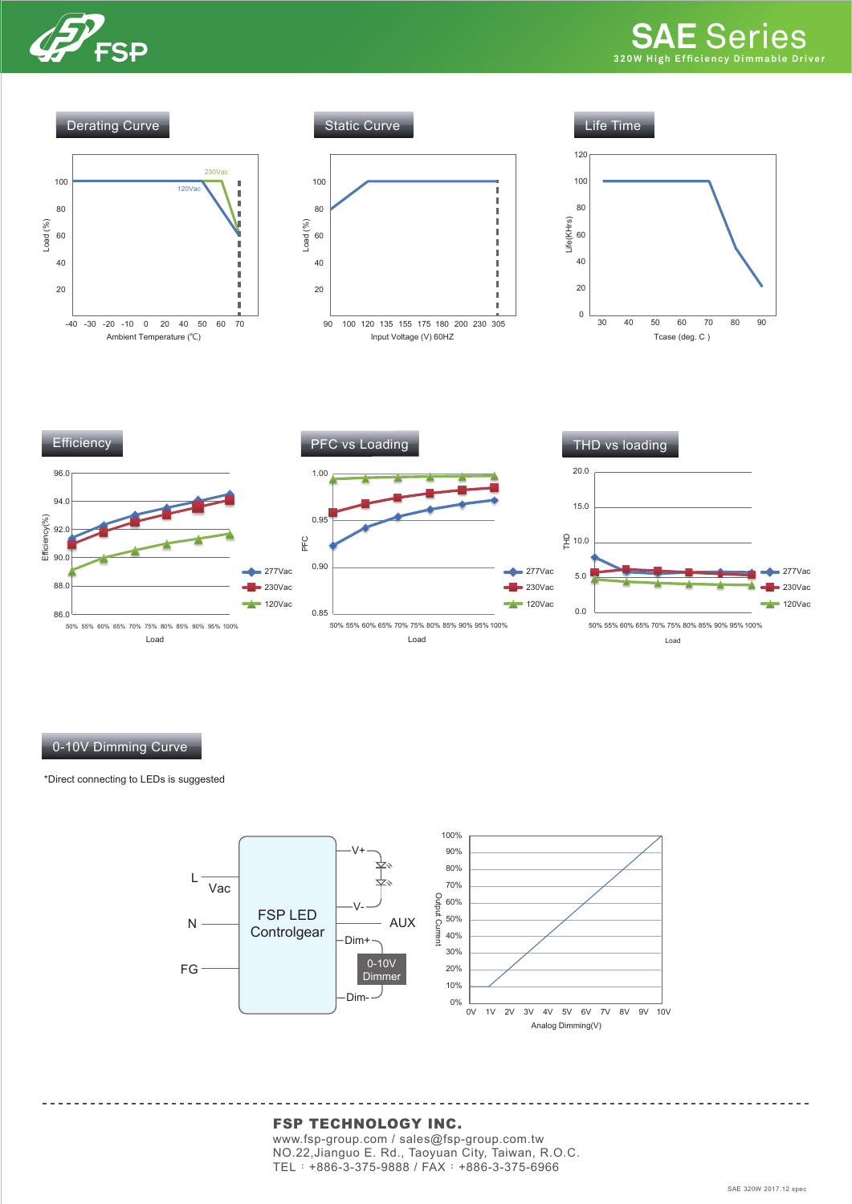



#### 0-10V Dimming Curve

\*Direct connecting to LEDs is suggested



#### FSP TECHNOLOGY INC.

www.fsp-group.com / sales@fsp-group.com.tw NO.22,Jianguo E. Rd., Taoyuan City, Taiwan, R.O.C. TEL:+886-3-375-9888 / FAX:+886-3-375-6966